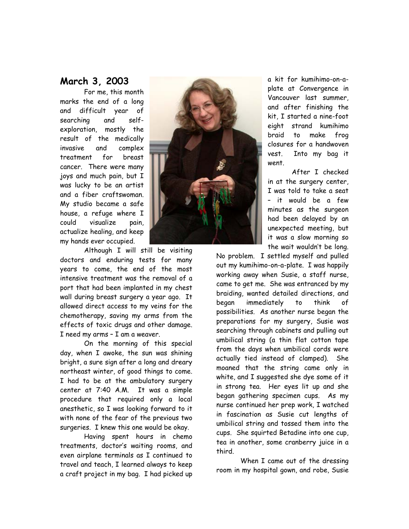## **March 3, 2003**

For me, this month marks the end of a long and difficult year of searching and selfexploration, mostly the result of the medically invasive and complex treatment for breast cancer. There were many joys and much pain, but I was lucky to be an artist and a fiber craftswoman. My studio became a safe house, a refuge where I could visualize pain, actualize healing, and keep my hands ever occupied.

Although I will still be visiting doctors and enduring tests for many years to come, the end of the most intensive treatment was the removal of a port that had been implanted in my chest wall during breast surgery a year ago. It allowed direct access to my veins for the chemotherapy, saving my arms from the effects of toxic drugs and other damage. I need my arms – I am a weaver.

On the morning of this special day, when I awoke, the sun was shining bright, a sure sign after a long and dreary northeast winter, of good things to come. I had to be at the ambulatory surgery center at 7:40 A.M. It was a simple procedure that required only a local anesthetic, so I was looking forward to it with none of the fear of the previous two surgeries. I knew this one would be okay.

Having spent hours in chemo treatments, doctor's waiting rooms, and even airplane terminals as I continued to travel and teach, I learned always to keep a craft project in my bag. I had picked up



a kit for kumihimo-on-aplate at Convergence in Vancouver last summer, and after finishing the kit, I started a nine-foot eight strand kumihimo braid to make frog closures for a handwoven vest. Into my bag it went.

After I checked in at the surgery center, I was told to take a seat – it would be a few minutes as the surgeon had been delayed by an unexpected meeting, but it was a slow morning so the wait wouldn't be long.

No problem. I settled myself and pulled out my kumihimo-on-a-plate. I was happily working away when Susie, a staff nurse, came to get me. She was entranced by my braiding, wanted detailed directions, and began immediately to think of possibilities. As another nurse began the preparations for my surgery, Susie was searching through cabinets and pulling out umbilical string (a thin flat cotton tape from the days when umbilical cords were actually tied instead of clamped). She moaned that the string came only in white, and I suggested she dye some of it in strong tea. Her eyes lit up and she began gathering specimen cups. As my nurse continued her prep work, I watched in fascination as Susie cut lengths of umbilical string and tossed them into the cups. She squirted Betadine into one cup, tea in another, some cranberry juice in a third.

When I came out of the dressing room in my hospital gown, and robe, Susie